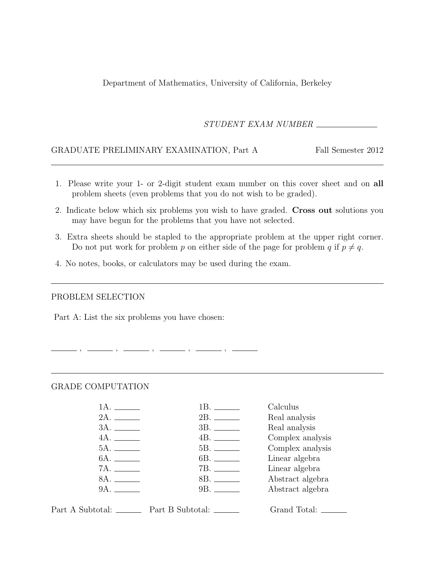Department of Mathematics, University of California, Berkeley

STUDENT EXAM NUMBER

### GRADUATE PRELIMINARY EXAMINATION, Part A Fall Semester 2012

- 1. Please write your 1- or 2-digit student exam number on this cover sheet and on all problem sheets (even problems that you do not wish to be graded).
- 2. Indicate below which six problems you wish to have graded. Cross out solutions you may have begun for the problems that you have not selected.
- 3. Extra sheets should be stapled to the appropriate problem at the upper right corner. Do not put work for problem p on either side of the page for problem q if  $p \neq q$ .
- 4. No notes, books, or calculators may be used during the exam.

#### PROBLEM SELECTION

Part A: List the six problems you have chosen:

#### GRADE COMPUTATION

|              |                     | Calculus         |
|--------------|---------------------|------------------|
|              |                     | Real analysis    |
|              |                     | Real analysis    |
| 4A.          |                     | Complex analysis |
|              |                     | Complex analysis |
| 6A. ________ |                     | Linear algebra   |
|              |                     | Linear algebra   |
| 8A.          |                     | Abstract algebra |
| 9A.          | 9B. <b>Exercise</b> | Abstract algebra |
|              |                     |                  |



, , , , ,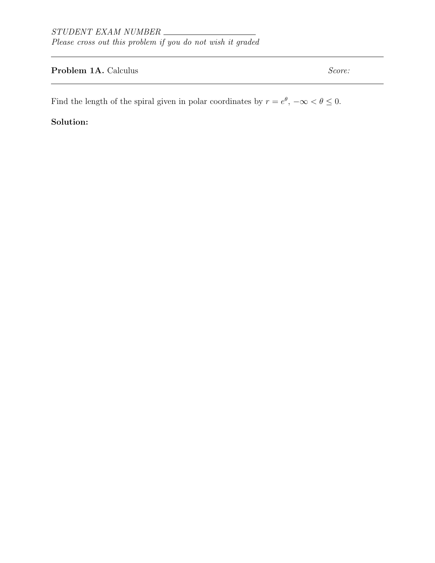# Problem 1A. Calculus Score:

Find the length of the spiral given in polar coordinates by  $r = e^{\theta}$ ,  $-\infty < \theta \leq 0$ .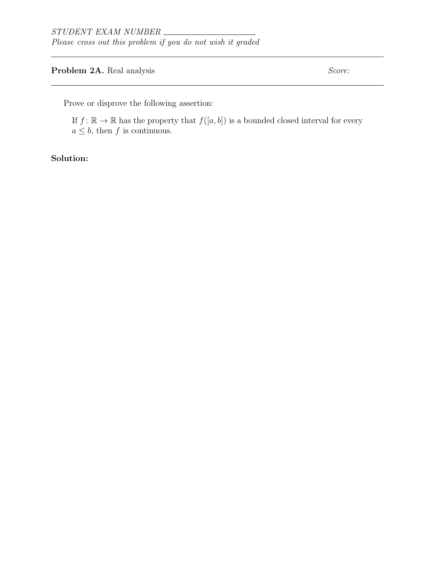# **Problem 2A.** Real analysis Score:

Prove or disprove the following assertion:

If  $f: \mathbb{R} \to \mathbb{R}$  has the property that  $f([a, b])$  is a bounded closed interval for every  $a \leq b$ , then f is continuous.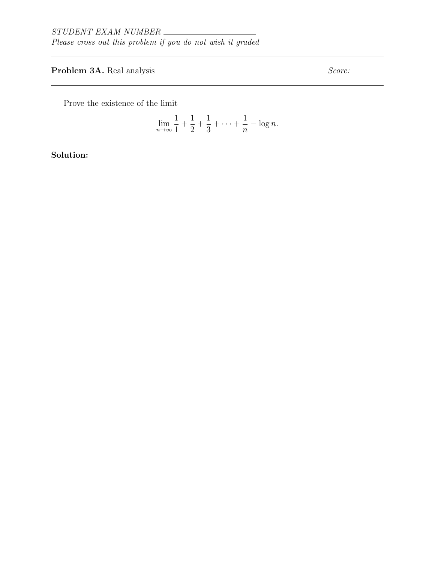# **Problem 3A.** Real analysis Score:

Prove the existence of the limit

$$
\lim_{n \to \infty} \frac{1}{1} + \frac{1}{2} + \frac{1}{3} + \dots + \frac{1}{n} - \log n.
$$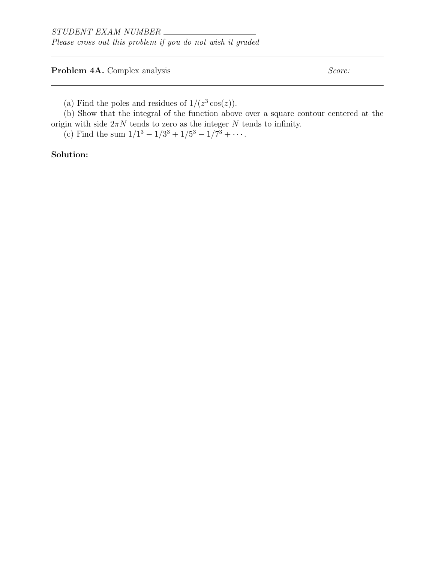**Problem 4A.** Complex analysis Score:

(a) Find the poles and residues of  $1/(z^3 \cos(z))$ .

(b) Show that the integral of the function above over a square contour centered at the origin with side  $2\pi N$  tends to zero as the integer N tends to infinity.

(c) Find the sum  $1/1^3 - 1/3^3 + 1/5^3 - 1/7^3 + \cdots$ .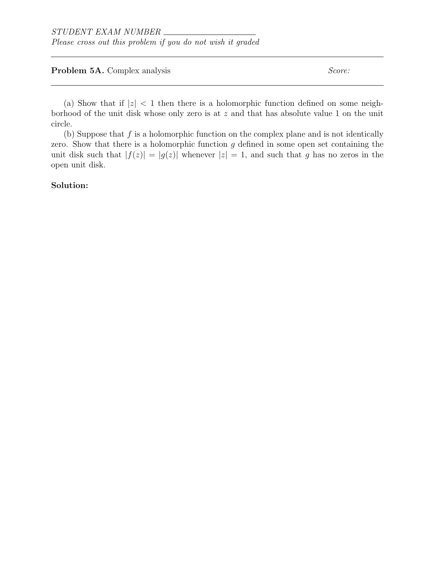#### **Problem 5A.** Complex analysis Score:

(a) Show that if  $|z| < 1$  then there is a holomorphic function defined on some neighborhood of the unit disk whose only zero is at z and that has absolute value 1 on the unit circle.

(b) Suppose that  $f$  is a holomorphic function on the complex plane and is not identically zero. Show that there is a holomorphic function  $g$  defined in some open set containing the unit disk such that  $|f(z)| = |g(z)|$  whenever  $|z| = 1$ , and such that g has no zeros in the open unit disk.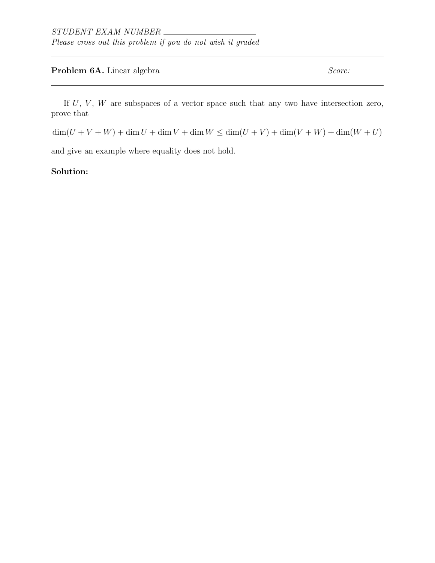### **Problem 6A.** Linear algebra  $Score:$

If  $U, V, W$  are subspaces of a vector space such that any two have intersection zero, prove that

 $\dim(U + V + W) + \dim U + \dim W + \dim W \leq \dim(U + V) + \dim(V + W) + \dim(W + U)$ 

and give an example where equality does not hold.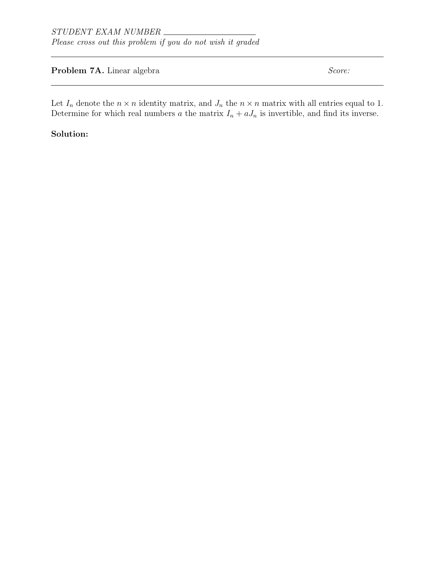# **Problem 7A.** Linear algebra  $Score:$

Let  $I_n$  denote the  $n \times n$  identity matrix, and  $J_n$  the  $n \times n$  matrix with all entries equal to 1. Determine for which real numbers a the matrix  $I_n + aJ_n$  is invertible, and find its inverse.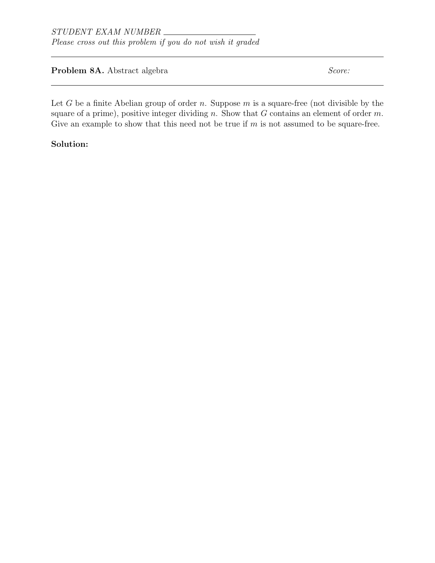**Problem 8A.** Abstract algebra Score: Score:

Let  $G$  be a finite Abelian group of order  $n$ . Suppose  $m$  is a square-free (not divisible by the square of a prime), positive integer dividing n. Show that  $G$  contains an element of order  $m$ . Give an example to show that this need not be true if  $m$  is not assumed to be square-free.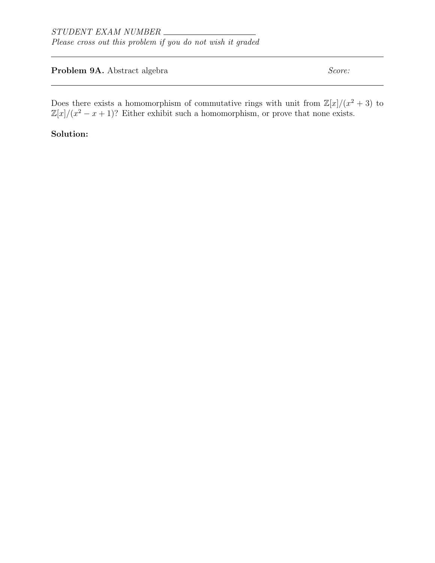# **Problem 9A.** Abstract algebra Score: Score:

Does there exists a homomorphism of commutative rings with unit from  $\mathbb{Z}[x]/(x^2+3)$  to  $\mathbb{Z}[x]/(x^2 - x + 1)$ ? Either exhibit such a homomorphism, or prove that none exists.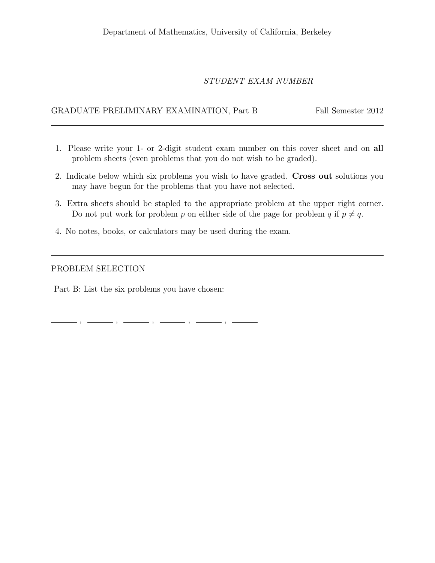# STUDENT EXAM NUMBER

### GRADUATE PRELIMINARY EXAMINATION, Part B Fall Semester 2012

- 1. Please write your 1- or 2-digit student exam number on this cover sheet and on all problem sheets (even problems that you do not wish to be graded).
- 2. Indicate below which six problems you wish to have graded. Cross out solutions you may have begun for the problems that you have not selected.
- 3. Extra sheets should be stapled to the appropriate problem at the upper right corner. Do not put work for problem p on either side of the page for problem q if  $p \neq q$ .
- 4. No notes, books, or calculators may be used during the exam.

#### PROBLEM SELECTION

Part B: List the six problems you have chosen:

, , , , ,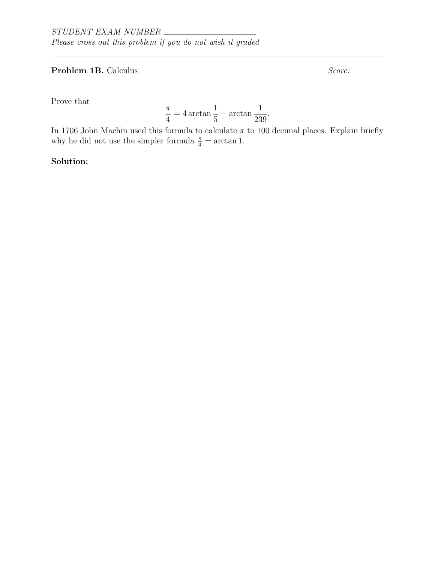# **Problem 1B.** Calculus Score:

Prove that

$$
\frac{\pi}{4} = 4 \arctan \frac{1}{5} - \arctan \frac{1}{239}.
$$

In 1706 John Machin used this formula to calculate  $\pi$  to 100 decimal places. Explain briefly why he did not use the simpler formula  $\frac{\pi}{4} = \arctan 1$ .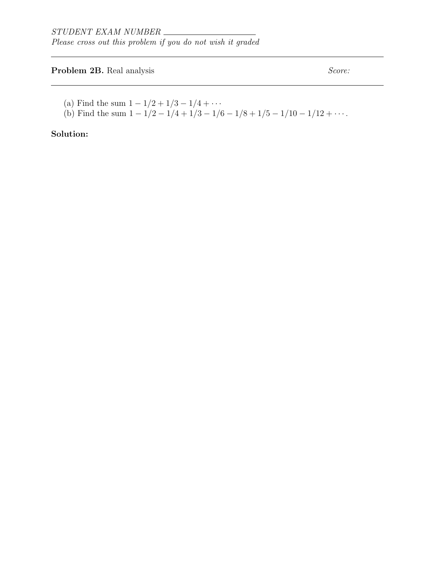# **Problem 2B.** Real analysis Score:

- (a) Find the sum  $1 1/2 + 1/3 1/4 + \cdots$
- (b) Find the sum  $1 1/2 1/4 + 1/3 1/6 1/8 + 1/5 1/10 1/12 + \cdots$ .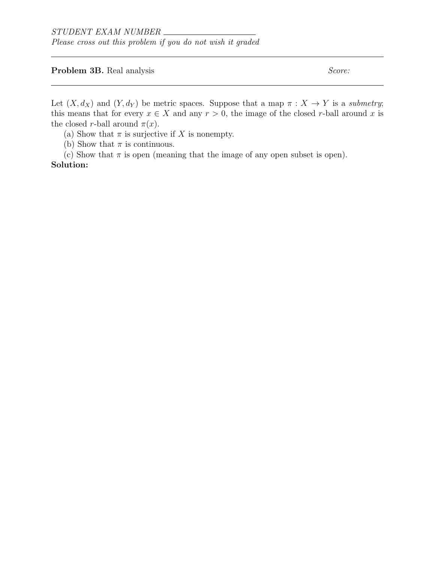**Problem 3B.** Real analysis Score:

Let  $(X, d_X)$  and  $(Y, d_Y)$  be metric spaces. Suppose that a map  $\pi : X \to Y$  is a submetry; this means that for every  $x \in X$  and any  $r > 0$ , the image of the closed r-ball around x is the closed r-ball around  $\pi(x)$ .

(a) Show that  $\pi$  is surjective if X is nonempty.

(b) Show that  $\pi$  is continuous.

(c) Show that  $\pi$  is open (meaning that the image of any open subset is open). Solution: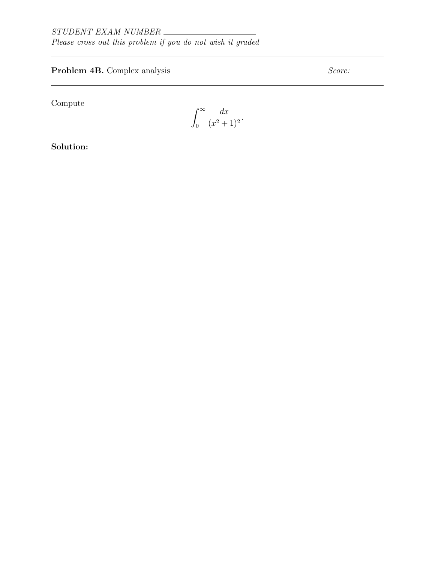# **Problem 4B.** Complex analysis Score:

Compute

 $\int^{\infty}$ 0  $dx$  $\frac{ax}{(x^2+1)^2}$ .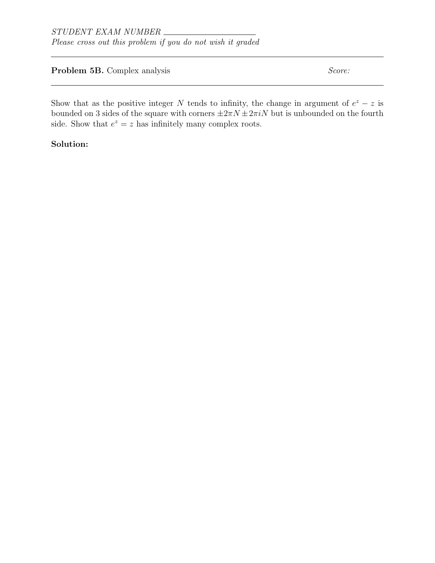**Problem 5B.** Complex analysis Score:

Show that as the positive integer N tends to infinity, the change in argument of  $e^z - z$  is bounded on 3 sides of the square with corners  $\pm 2\pi N \pm 2\pi iN$  but is unbounded on the fourth side. Show that  $e^z = z$  has infinitely many complex roots.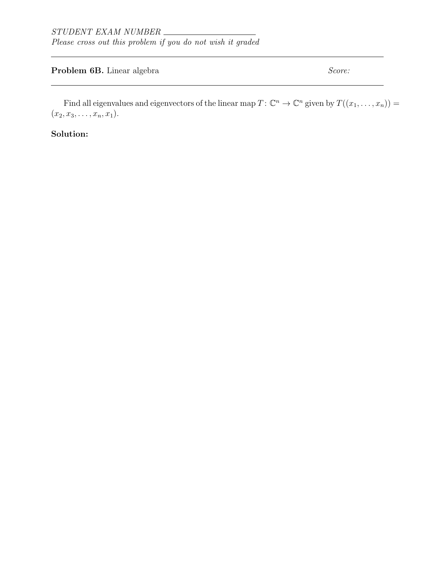### **Problem 6B.** Linear algebra  $Score:$

Find all eigenvalues and eigenvectors of the linear map  $T: \mathbb{C}^n \to \mathbb{C}^n$  given by  $T((x_1, \ldots, x_n)) =$  $(x_2, x_3, \ldots, x_n, x_1).$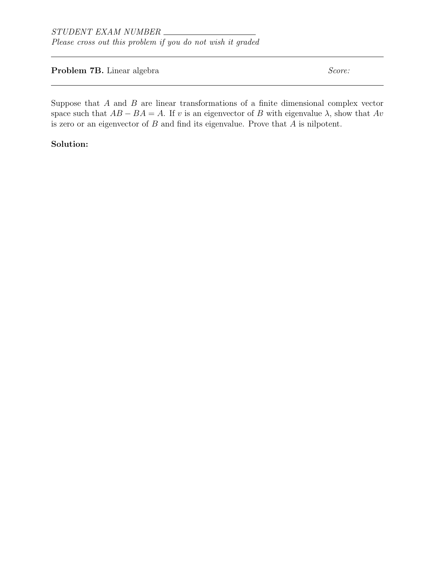#### **Problem 7B.** Linear algebra  $Score:$

Suppose that  $A$  and  $B$  are linear transformations of a finite dimensional complex vector space such that  $AB - BA = A$ . If v is an eigenvector of B with eigenvalue  $\lambda$ , show that  $Av$ is zero or an eigenvector of  $B$  and find its eigenvalue. Prove that  $\overline{A}$  is nilpotent.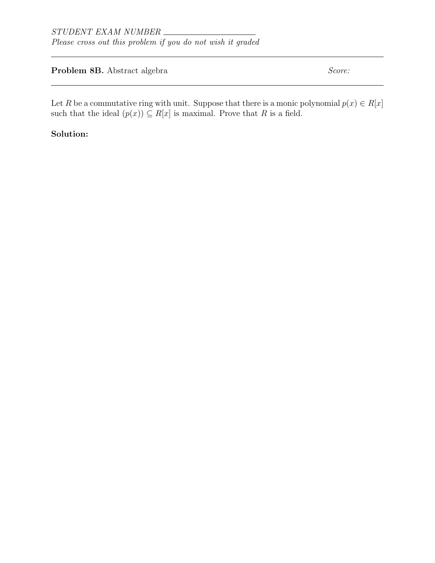**Problem 8B.** Abstract algebra Score: Score:

Let R be a commutative ring with unit. Suppose that there is a monic polynomial  $p(x) \in R[x]$ such that the ideal  $(p(x)) \subseteq R[x]$  is maximal. Prove that R is a field.